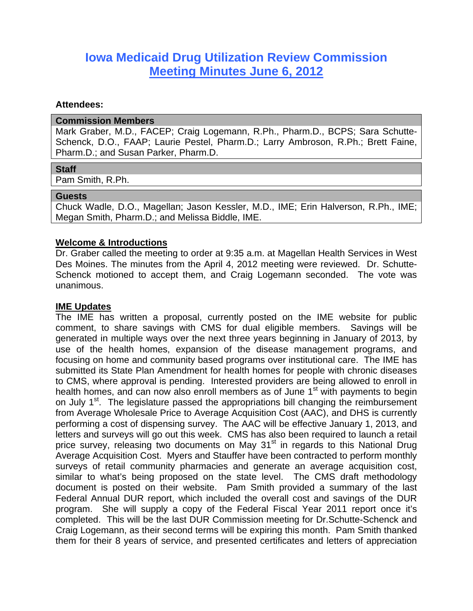# **Iowa Medicaid Drug Utilization Review Commission Meeting Minutes June 6, 2012**

### **Attendees:**

#### **Commission Members**

Mark Graber, M.D., FACEP; Craig Logemann, R.Ph., Pharm.D., BCPS; Sara Schutte-Schenck, D.O., FAAP; Laurie Pestel, Pharm.D.; Larry Ambroson, R.Ph.; Brett Faine, Pharm.D.; and Susan Parker, Pharm.D.

#### **Staff**

Pam Smith, R.Ph.

#### **Guests**

Chuck Wadle, D.O., Magellan; Jason Kessler, M.D., IME; Erin Halverson, R.Ph., IME; Megan Smith, Pharm.D.; and Melissa Biddle, IME.

### **Welcome & Introductions**

Dr. Graber called the meeting to order at 9:35 a.m. at Magellan Health Services in West Des Moines. The minutes from the April 4, 2012 meeting were reviewed. Dr. Schutte-Schenck motioned to accept them, and Craig Logemann seconded. The vote was unanimous.

### **IME Updates**

The IME has written a proposal, currently posted on the IME website for public comment, to share savings with CMS for dual eligible members. Savings will be generated in multiple ways over the next three years beginning in January of 2013, by use of the health homes, expansion of the disease management programs, and focusing on home and community based programs over institutional care. The IME has submitted its State Plan Amendment for health homes for people with chronic diseases to CMS, where approval is pending. Interested providers are being allowed to enroll in health homes, and can now also enroll members as of June 1<sup>st</sup> with payments to begin on July 1<sup>st</sup>. The legislature passed the appropriations bill changing the reimbursement from Average Wholesale Price to Average Acquisition Cost (AAC), and DHS is currently performing a cost of dispensing survey. The AAC will be effective January 1, 2013, and letters and surveys will go out this week. CMS has also been required to launch a retail price survey, releasing two documents on May 31<sup>st</sup> in regards to this National Drug Average Acquisition Cost. Myers and Stauffer have been contracted to perform monthly surveys of retail community pharmacies and generate an average acquisition cost, similar to what's being proposed on the state level. The CMS draft methodology document is posted on their website. Pam Smith provided a summary of the last Federal Annual DUR report, which included the overall cost and savings of the DUR program. She will supply a copy of the Federal Fiscal Year 2011 report once it's completed. This will be the last DUR Commission meeting for Dr.Schutte-Schenck and Craig Logemann, as their second terms will be expiring this month. Pam Smith thanked them for their 8 years of service, and presented certificates and letters of appreciation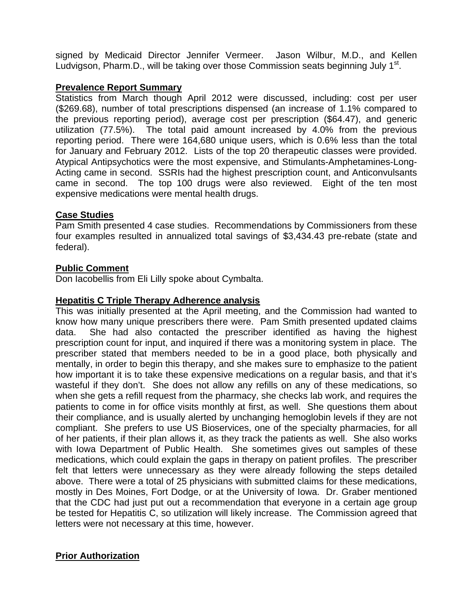signed by Medicaid Director Jennifer Vermeer. Jason Wilbur, M.D., and Kellen Ludvigson, Pharm.D., will be taking over those Commission seats beginning July  $1<sup>st</sup>$ .

## **Prevalence Report Summary**

Statistics from March though April 2012 were discussed, including: cost per user (\$269.68), number of total prescriptions dispensed (an increase of 1.1% compared to the previous reporting period), average cost per prescription (\$64.47), and generic utilization (77.5%). The total paid amount increased by 4.0% from the previous reporting period. There were 164,680 unique users, which is 0.6% less than the total for January and February 2012. Lists of the top 20 therapeutic classes were provided. Atypical Antipsychotics were the most expensive, and Stimulants-Amphetamines-Long-Acting came in second. SSRIs had the highest prescription count, and Anticonvulsants came in second. The top 100 drugs were also reviewed. Eight of the ten most expensive medications were mental health drugs.

# **Case Studies**

Pam Smith presented 4 case studies. Recommendations by Commissioners from these four examples resulted in annualized total savings of \$3,434.43 pre-rebate (state and federal).

# **Public Comment**

Don Iacobellis from Eli Lilly spoke about Cymbalta.

# **Hepatitis C Triple Therapy Adherence analysis**

This was initially presented at the April meeting, and the Commission had wanted to know how many unique prescribers there were. Pam Smith presented updated claims data. She had also contacted the prescriber identified as having the highest prescription count for input, and inquired if there was a monitoring system in place. The prescriber stated that members needed to be in a good place, both physically and mentally, in order to begin this therapy, and she makes sure to emphasize to the patient how important it is to take these expensive medications on a regular basis, and that it's wasteful if they don't. She does not allow any refills on any of these medications, so when she gets a refill request from the pharmacy, she checks lab work, and requires the patients to come in for office visits monthly at first, as well. She questions them about their compliance, and is usually alerted by unchanging hemoglobin levels if they are not compliant. She prefers to use US Bioservices, one of the specialty pharmacies, for all of her patients, if their plan allows it, as they track the patients as well. She also works with Iowa Department of Public Health. She sometimes gives out samples of these medications, which could explain the gaps in therapy on patient profiles. The prescriber felt that letters were unnecessary as they were already following the steps detailed above. There were a total of 25 physicians with submitted claims for these medications, mostly in Des Moines, Fort Dodge, or at the University of Iowa. Dr. Graber mentioned that the CDC had just put out a recommendation that everyone in a certain age group be tested for Hepatitis C, so utilization will likely increase. The Commission agreed that letters were not necessary at this time, however.

# **Prior Authorization**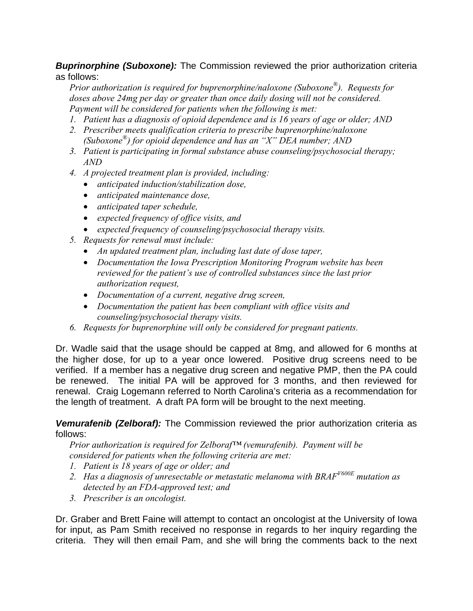*Buprinorphine (Suboxone):* The Commission reviewed the prior authorization criteria as follows:

*Prior authorization is required for buprenorphine/naloxone (Suboxone®). Requests for doses above 24mg per day or greater than once daily dosing will not be considered. Payment will be considered for patients when the following is met:* 

- *1. Patient has a diagnosis of opioid dependence and is 16 years of age or older; AND*
- *2. Prescriber meets qualification criteria to prescribe buprenorphine/naloxone (Suboxone®) for opioid dependence and has an "X" DEA number; AND*
- *3. Patient is participating in formal substance abuse counseling/psychosocial therapy; AND*
- *4. A projected treatment plan is provided, including:* 
	- *anticipated induction/stabilization dose,*
	- *anticipated maintenance dose,*
	- *anticipated taper schedule,*
	- *expected frequency of office visits, and*
	- *expected frequency of counseling/psychosocial therapy visits.*
- *5. Requests for renewal must include:* 
	- *An updated treatment plan, including last date of dose taper,*
	- *Documentation the Iowa Prescription Monitoring Program website has been reviewed for the patient's use of controlled substances since the last prior authorization request,*
	- *Documentation of a current, negative drug screen,*
	- *Documentation the patient has been compliant with office visits and counseling/psychosocial therapy visits.*
- *6. Requests for buprenorphine will only be considered for pregnant patients.*

Dr. Wadle said that the usage should be capped at 8mg, and allowed for 6 months at the higher dose, for up to a year once lowered. Positive drug screens need to be verified. If a member has a negative drug screen and negative PMP, then the PA could be renewed. The initial PA will be approved for 3 months, and then reviewed for renewal. Craig Logemann referred to North Carolina's criteria as a recommendation for the length of treatment. A draft PA form will be brought to the next meeting.

*Vemurafenib (Zelboraf):* The Commission reviewed the prior authorization criteria as follows:

*Prior authorization is required for Zelboraf™ (vemurafenib). Payment will be considered for patients when the following criteria are met:* 

- *1. Patient is 18 years of age or older; and*
- 2. *Has a diagnosis of unresectable or metastatic melanoma with BRAF<sup>V600E</sup> mutation as detected by an FDA-approved test; and*
- *3. Prescriber is an oncologist.*

Dr. Graber and Brett Faine will attempt to contact an oncologist at the University of Iowa for input, as Pam Smith received no response in regards to her inquiry regarding the criteria. They will then email Pam, and she will bring the comments back to the next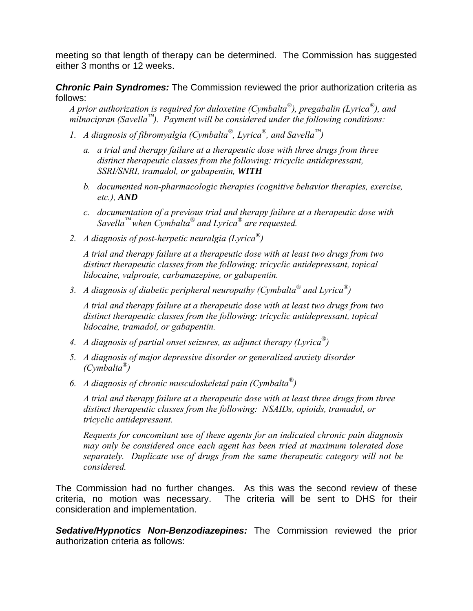meeting so that length of therapy can be determined. The Commission has suggested either 3 months or 12 weeks.

*Chronic Pain Syndromes:* The Commission reviewed the prior authorization criteria as follows:

*A prior authorization is required for duloxetine (Cymbalta®), pregabalin (Lyrica®), and milnacipran (Savella™). Payment will be considered under the following conditions:* 

- *1. A diagnosis of fibromyalgia (Cymbalta®, Lyrica®, and Savella™)* 
	- *a. a trial and therapy failure at a therapeutic dose with three drugs from three distinct therapeutic classes from the following: tricyclic antidepressant, SSRI/SNRI, tramadol, or gabapentin, WITH*
	- *b. documented non-pharmacologic therapies (cognitive behavior therapies, exercise, etc.), AND*
	- *c. documentation of a previous trial and therapy failure at a therapeutic dose with Savella™ when Cymbalta® and Lyrica® are requested.*
- *2. A diagnosis of post-herpetic neuralgia (Lyrica®)*

*A trial and therapy failure at a therapeutic dose with at least two drugs from two distinct therapeutic classes from the following: tricyclic antidepressant, topical lidocaine, valproate, carbamazepine, or gabapentin.* 

*3. A diagnosis of diabetic peripheral neuropathy (Cymbalta® and Lyrica®)* 

*A trial and therapy failure at a therapeutic dose with at least two drugs from two distinct therapeutic classes from the following: tricyclic antidepressant, topical lidocaine, tramadol, or gabapentin.* 

- *4. A diagnosis of partial onset seizures, as adjunct therapy (Lyrica®)*
- *5. A diagnosis of major depressive disorder or generalized anxiety disorder (Cymbalta®)*
- *6. A diagnosis of chronic musculoskeletal pain (Cymbalta®)*

*A trial and therapy failure at a therapeutic dose with at least three drugs from three distinct therapeutic classes from the following: NSAIDs, opioids, tramadol, or tricyclic antidepressant.* 

*Requests for concomitant use of these agents for an indicated chronic pain diagnosis may only be considered once each agent has been tried at maximum tolerated dose separately. Duplicate use of drugs from the same therapeutic category will not be considered.*

The Commission had no further changes. As this was the second review of these criteria, no motion was necessary. The criteria will be sent to DHS for their consideration and implementation.

*Sedative/Hypnotics Non-Benzodiazepines:* The Commission reviewed the prior authorization criteria as follows: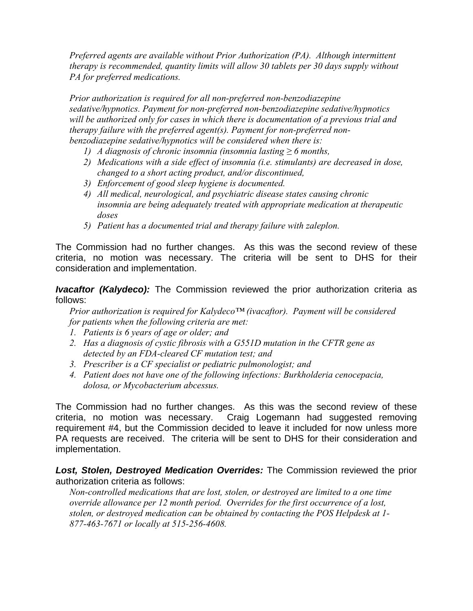*Preferred agents are available without Prior Authorization (PA). Although intermittent therapy is recommended, quantity limits will allow 30 tablets per 30 days supply without PA for preferred medications.* 

*Prior authorization is required for all non-preferred non-benzodiazepine sedative/hypnotics. Payment for non-preferred non-benzodiazepine sedative/hypnotics will be authorized only for cases in which there is documentation of a previous trial and therapy failure with the preferred agent(s). Payment for non-preferred nonbenzodiazepine sedative/hypnotics will be considered when there is:* 

- *1) A* diagnosis of chronic insomnia (insomnia lasting  $\geq 6$  months,
- *2) Medications with a side effect of insomnia (i.e. stimulants) are decreased in dose, changed to a short acting product, and/or discontinued,*
- *3) Enforcement of good sleep hygiene is documented.*
- *4) All medical, neurological, and psychiatric disease states causing chronic insomnia are being adequately treated with appropriate medication at therapeutic doses*
- *5) Patient has a documented trial and therapy failure with zaleplon.*

The Commission had no further changes. As this was the second review of these criteria, no motion was necessary. The criteria will be sent to DHS for their consideration and implementation.

*Ivacaftor (Kalydeco):* The Commission reviewed the prior authorization criteria as follows:

*Prior authorization is required for Kalydeco™ (ivacaftor). Payment will be considered for patients when the following criteria are met:* 

- *1. Patients is 6 years of age or older; and*
- *2. Has a diagnosis of cystic fibrosis with a G551D mutation in the CFTR gene as detected by an FDA-cleared CF mutation test; and*
- *3. Prescriber is a CF specialist or pediatric pulmonologist; and*
- *4. Patient does not have one of the following infections: Burkholderia cenocepacia, dolosa, or Mycobacterium abcessus.*

The Commission had no further changes. As this was the second review of these criteria, no motion was necessary. Craig Logemann had suggested removing requirement #4, but the Commission decided to leave it included for now unless more PA requests are received. The criteria will be sent to DHS for their consideration and implementation.

*Lost, Stolen, Destroyed Medication Overrides:* The Commission reviewed the prior authorization criteria as follows:

*Non-controlled medications that are lost, stolen, or destroyed are limited to a one time override allowance per 12 month period. Overrides for the first occurrence of a lost, stolen, or destroyed medication can be obtained by contacting the POS Helpdesk at 1- 877-463-7671 or locally at 515-256-4608.*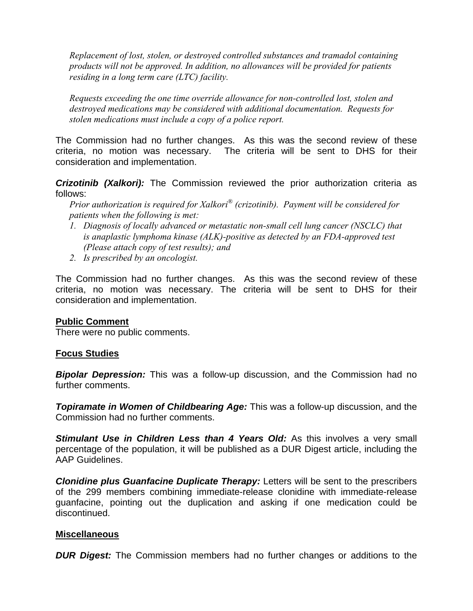*Replacement of lost, stolen, or destroyed controlled substances and tramadol containing products will not be approved. In addition, no allowances will be provided for patients residing in a long term care (LTC) facility.* 

*Requests exceeding the one time override allowance for non-controlled lost, stolen and destroyed medications may be considered with additional documentation. Requests for stolen medications must include a copy of a police report.* 

The Commission had no further changes. As this was the second review of these criteria, no motion was necessary. The criteria will be sent to DHS for their consideration and implementation.

*Crizotinib (Xalkori):* The Commission reviewed the prior authorization criteria as follows:

*Prior authorization is required for Xalkori® (crizotinib). Payment will be considered for patients when the following is met:* 

- *1. Diagnosis of locally advanced or metastatic non-small cell lung cancer (NSCLC) that is anaplastic lymphoma kinase (ALK)-positive as detected by an FDA-approved test (Please attach copy of test results); and*
- *2. Is prescribed by an oncologist.*

The Commission had no further changes. As this was the second review of these criteria, no motion was necessary. The criteria will be sent to DHS for their consideration and implementation.

### **Public Comment**

There were no public comments.

### **Focus Studies**

*Bipolar Depression:* This was a follow-up discussion, and the Commission had no further comments.

*Topiramate in Women of Childbearing Age:* This was a follow-up discussion, and the Commission had no further comments.

**Stimulant Use in Children Less than 4 Years Old:** As this involves a very small percentage of the population, it will be published as a DUR Digest article, including the AAP Guidelines.

*Clonidine plus Guanfacine Duplicate Therapy:* Letters will be sent to the prescribers of the 299 members combining immediate-release clonidine with immediate-release guanfacine, pointing out the duplication and asking if one medication could be discontinued.

### **Miscellaneous**

*DUR Digest:* The Commission members had no further changes or additions to the